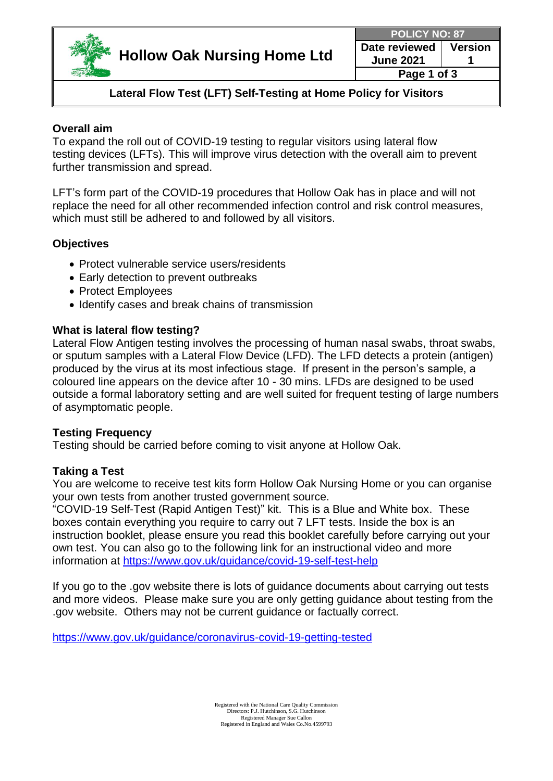

**Page 1 of 3**

# **Lateral Flow Test (LFT) Self-Testing at Home Policy for Visitors**

# **Overall aim**

To expand the roll out of COVID-19 testing to regular visitors using lateral flow testing devices (LFTs). This will improve virus detection with the overall aim to prevent further transmission and spread.

LFT's form part of the COVID-19 procedures that Hollow Oak has in place and will not replace the need for all other recommended infection control and risk control measures, which must still be adhered to and followed by all visitors.

# **Objectives**

- Protect vulnerable service users/residents
- Early detection to prevent outbreaks
- Protect Employees
- Identify cases and break chains of transmission

# **What is lateral flow testing?**

Lateral Flow Antigen testing involves the processing of human nasal swabs, throat swabs, or sputum samples with a Lateral Flow Device (LFD). The LFD detects a protein (antigen) produced by the virus at its most infectious stage. If present in the person's sample, a coloured line appears on the device after 10 - 30 mins. LFDs are designed to be used outside a formal laboratory setting and are well suited for frequent testing of large numbers of asymptomatic people.

# **Testing Frequency**

Testing should be carried before coming to visit anyone at Hollow Oak.

# **Taking a Test**

You are welcome to receive test kits form Hollow Oak Nursing Home or you can organise your own tests from another trusted government source.

"COVID-19 Self-Test (Rapid Antigen Test)" kit. This is a Blue and White box. These boxes contain everything you require to carry out 7 LFT tests. Inside the box is an instruction booklet, please ensure you read this booklet carefully before carrying out your own test. You can also go to the following link for an instructional video and more information at <https://www.gov.uk/guidance/covid-19-self-test-help>

If you go to the .gov website there is lots of guidance documents about carrying out tests and more videos. Please make sure you are only getting guidance about testing from the .gov website. Others may not be current guidance or factually correct.

<https://www.gov.uk/guidance/coronavirus-covid-19-getting-tested>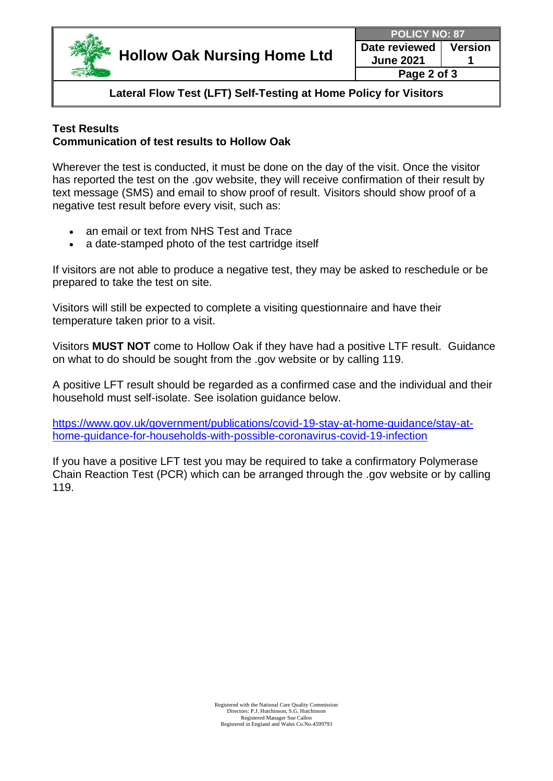

**Page 2 of 3**

**Lateral Flow Test (LFT) Self-Testing at Home Policy for Visitors**

#### **Test Results Communication of test results to Hollow Oak**

Wherever the test is conducted, it must be done on the day of the visit. Once the visitor has reported the test on the .gov website, they will receive confirmation of their result by text message (SMS) and email to show proof of result. Visitors should show proof of a negative test result before every visit, such as:

- an email or text from NHS Test and Trace
- a date-stamped photo of the test cartridge itself

If visitors are not able to produce a negative test, they may be asked to reschedule or be prepared to take the test on site.

Visitors will still be expected to complete a visiting questionnaire and have their temperature taken prior to a visit.

Visitors **MUST NOT** come to Hollow Oak if they have had a positive LTF result. Guidance on what to do should be sought from the .gov website or by calling 119.

A positive LFT result should be regarded as a confirmed case and the individual and their household must self-isolate. See isolation guidance below.

[https://www.gov.uk/government/publications/covid-19-stay-at-home-guidance/stay-at](https://www.gov.uk/government/publications/covid-19-stay-at-home-guidance/stay-at-home-guidance-for-households-with-possible-coronavirus-covid-19-infection)[home-guidance-for-households-with-possible-coronavirus-covid-19-infection](https://www.gov.uk/government/publications/covid-19-stay-at-home-guidance/stay-at-home-guidance-for-households-with-possible-coronavirus-covid-19-infection)

If you have a positive LFT test you may be required to take a confirmatory Polymerase Chain Reaction Test (PCR) which can be arranged through the .gov website or by calling 119.